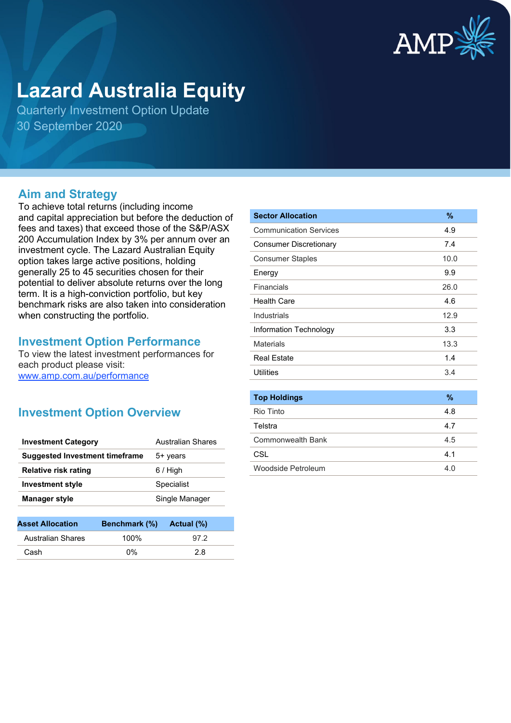

# **Lazard Australia Equity**

Quarterly Investment Option Update 30 September 2020

## **Aim and Strategy**

To achieve total returns (including income and capital appreciation but before the deduction of fees and taxes) that exceed those of the S&P/ASX 200 Accumulation Index by 3% per annum over an investment cycle. The Lazard Australian Equity option takes large active positions, holding generally 25 to 45 securities chosen for their potential to deliver absolute returns over the long term. It is a high-conviction portfolio, but key benchmark risks are also taken into consideration when constructing the portfolio.

## **Investment Option Performance**

To view the latest investment performances for each product please visit: [www.amp.com.au/performance](https://www.amp.com.au/performance)

## **Investment Option Overview**

| <b>Investment Category</b>            | Australian Shares |
|---------------------------------------|-------------------|
| <b>Suggested Investment timeframe</b> | 5+ years          |
| <b>Relative risk rating</b>           | $6/$ High         |
| <b>Investment style</b>               | Specialist        |
| <b>Manager style</b>                  | Single Manager    |
|                                       |                   |

| <b>Asset Allocation</b>  | Benchmark (%) | Actual (%) |
|--------------------------|---------------|------------|
| <b>Australian Shares</b> | 100%          | 97.2       |
| Cash                     | በ%            | 2 R        |

| <b>Sector Allocation</b>      | $\frac{9}{6}$ |
|-------------------------------|---------------|
| <b>Communication Services</b> | 4.9           |
| <b>Consumer Discretionary</b> | 7.4           |
| <b>Consumer Staples</b>       | 10.0          |
| Energy                        | 9.9           |
| Financials                    | 26.0          |
| <b>Health Care</b>            | 4.6           |
| Industrials                   | 12.9          |
| Information Technology        | 3.3           |
| <b>Materials</b>              | 13.3          |
| <b>Real Estate</b>            | 1.4           |
| Utilities                     | 3.4           |
|                               |               |
| <b>Top Holdings</b>           | $\frac{9}{6}$ |
| Rio Tinto                     | 4.8           |
| Telstra                       | 4.7           |
| <b>Commonwealth Bank</b>      | 4.5           |
| CSL                           | 4.1           |
| Woodside Petroleum            | 4.0           |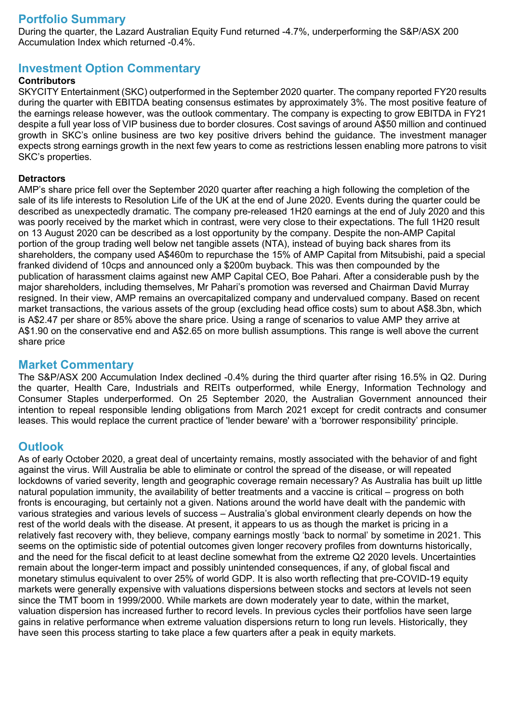## **Portfolio Summary**

During the quarter, the Lazard Australian Equity Fund returned -4.7%, underperforming the S&P/ASX 200 Accumulation Index which returned -0.4%.

## **Investment Option Commentary**

### **Contributors**

SKYCITY Entertainment (SKC) outperformed in the September 2020 quarter. The company reported FY20 results during the quarter with EBITDA beating consensus estimates by approximately 3%. The most positive feature of the earnings release however, was the outlook commentary. The company is expecting to grow EBITDA in FY21 despite a full year loss of VIP business due to border closures. Cost savings of around A\$50 million and continued growth in SKC's online business are two key positive drivers behind the guidance. The investment manager expects strong earnings growth in the next few years to come as restrictions lessen enabling more patrons to visit SKC's properties.

#### **Detractors**

AMP's share price fell over the September 2020 quarter after reaching a high following the completion of the sale of its life interests to Resolution Life of the UK at the end of June 2020. Events during the quarter could be described as unexpectedly dramatic. The company pre-released 1H20 earnings at the end of July 2020 and this was poorly received by the market which in contrast, were very close to their expectations. The full 1H20 result on 13 August 2020 can be described as a lost opportunity by the company. Despite the non-AMP Capital portion of the group trading well below net tangible assets (NTA), instead of buying back shares from its shareholders, the company used A\$460m to repurchase the 15% of AMP Capital from Mitsubishi, paid a special franked dividend of 10cps and announced only a \$200m buyback. This was then compounded by the publication of harassment claims against new AMP Capital CEO, Boe Pahari. After a considerable push by the major shareholders, including themselves, Mr Pahari's promotion was reversed and Chairman David Murray resigned. In their view, AMP remains an overcapitalized company and undervalued company. Based on recent market transactions, the various assets of the group (excluding head office costs) sum to about A\$8.3bn, which is A\$2.47 per share or 85% above the share price. Using a range of scenarios to value AMP they arrive at A\$1.90 on the conservative end and A\$2.65 on more bullish assumptions. This range is well above the current share price

## **Market Commentary**

The S&P/ASX 200 Accumulation Index declined -0.4% during the third quarter after rising 16.5% in Q2. During the quarter, Health Care, Industrials and REITs outperformed, while Energy, Information Technology and Consumer Staples underperformed. On 25 September 2020, the Australian Government announced their intention to repeal responsible lending obligations from March 2021 except for credit contracts and consumer leases. This would replace the current practice of 'lender beware' with a 'borrower responsibility' principle.

## **Outlook**

As of early October 2020, a great deal of uncertainty remains, mostly associated with the behavior of and fight against the virus. Will Australia be able to eliminate or control the spread of the disease, or will repeated lockdowns of varied severity, length and geographic coverage remain necessary? As Australia has built up little natural population immunity, the availability of better treatments and a vaccine is critical – progress on both fronts is encouraging, but certainly not a given. Nations around the world have dealt with the pandemic with various strategies and various levels of success – Australia's global environment clearly depends on how the rest of the world deals with the disease. At present, it appears to us as though the market is pricing in a relatively fast recovery with, they believe, company earnings mostly 'back to normal' by sometime in 2021. This seems on the optimistic side of potential outcomes given longer recovery profiles from downturns historically, and the need for the fiscal deficit to at least decline somewhat from the extreme Q2 2020 levels. Uncertainties remain about the longer-term impact and possibly unintended consequences, if any, of global fiscal and monetary stimulus equivalent to over 25% of world GDP. It is also worth reflecting that pre-COVID-19 equity markets were generally expensive with valuations dispersions between stocks and sectors at levels not seen since the TMT boom in 1999/2000. While markets are down moderately year to date, within the market, valuation dispersion has increased further to record levels. In previous cycles their portfolios have seen large gains in relative performance when extreme valuation dispersions return to long run levels. Historically, they have seen this process starting to take place a few quarters after a peak in equity markets.